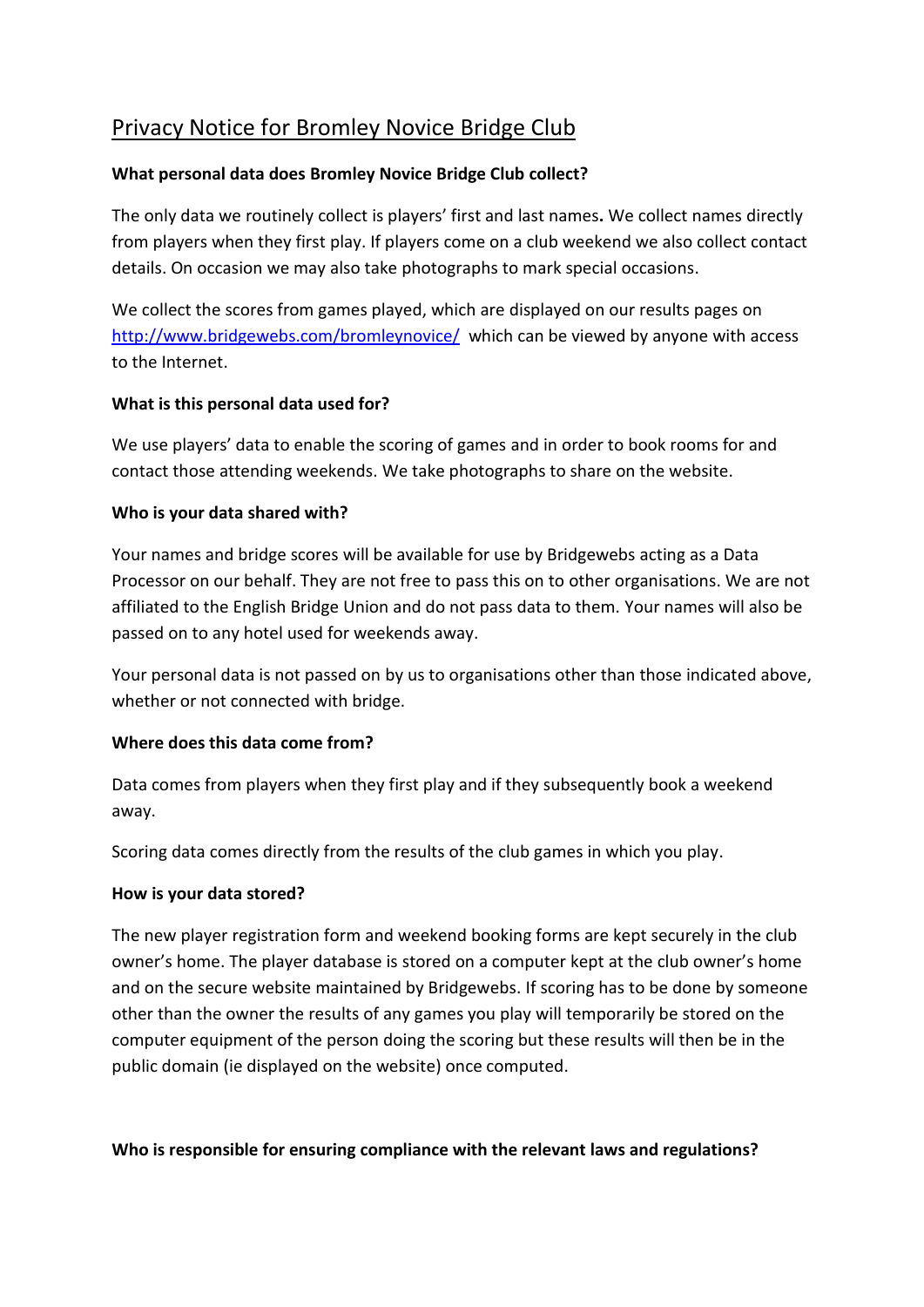# Privacy Notice for Bromley Novice Bridge Club

#### **What personal data does Bromley Novice Bridge Club collect?**

The only data we routinely collect is players' first and last names**.** We collect names directly from players when they first play. If players come on a club weekend we also collect contact details. On occasion we may also take photographs to mark special occasions.

We collect the scores from games played, which are displayed on our results pages on <http://www.bridgewebs.com/bromleynovice/> which can be viewed by anyone with access to the Internet.

#### **What is this personal data used for?**

We use players' data to enable the scoring of games and in order to book rooms for and contact those attending weekends. We take photographs to share on the website.

#### **Who is your data shared with?**

Your names and bridge scores will be available for use by Bridgewebs acting as a Data Processor on our behalf. They are not free to pass this on to other organisations. We are not affiliated to the English Bridge Union and do not pass data to them. Your names will also be passed on to any hotel used for weekends away.

Your personal data is not passed on by us to organisations other than those indicated above, whether or not connected with bridge.

#### **Where does this data come from?**

Data comes from players when they first play and if they subsequently book a weekend away.

Scoring data comes directly from the results of the club games in which you play.

#### **How is your data stored?**

The new player registration form and weekend booking forms are kept securely in the club owner's home. The player database is stored on a computer kept at the club owner's home and on the secure website maintained by Bridgewebs. If scoring has to be done by someone other than the owner the results of any games you play will temporarily be stored on the computer equipment of the person doing the scoring but these results will then be in the public domain (ie displayed on the website) once computed.

### **Who is responsible for ensuring compliance with the relevant laws and regulations?**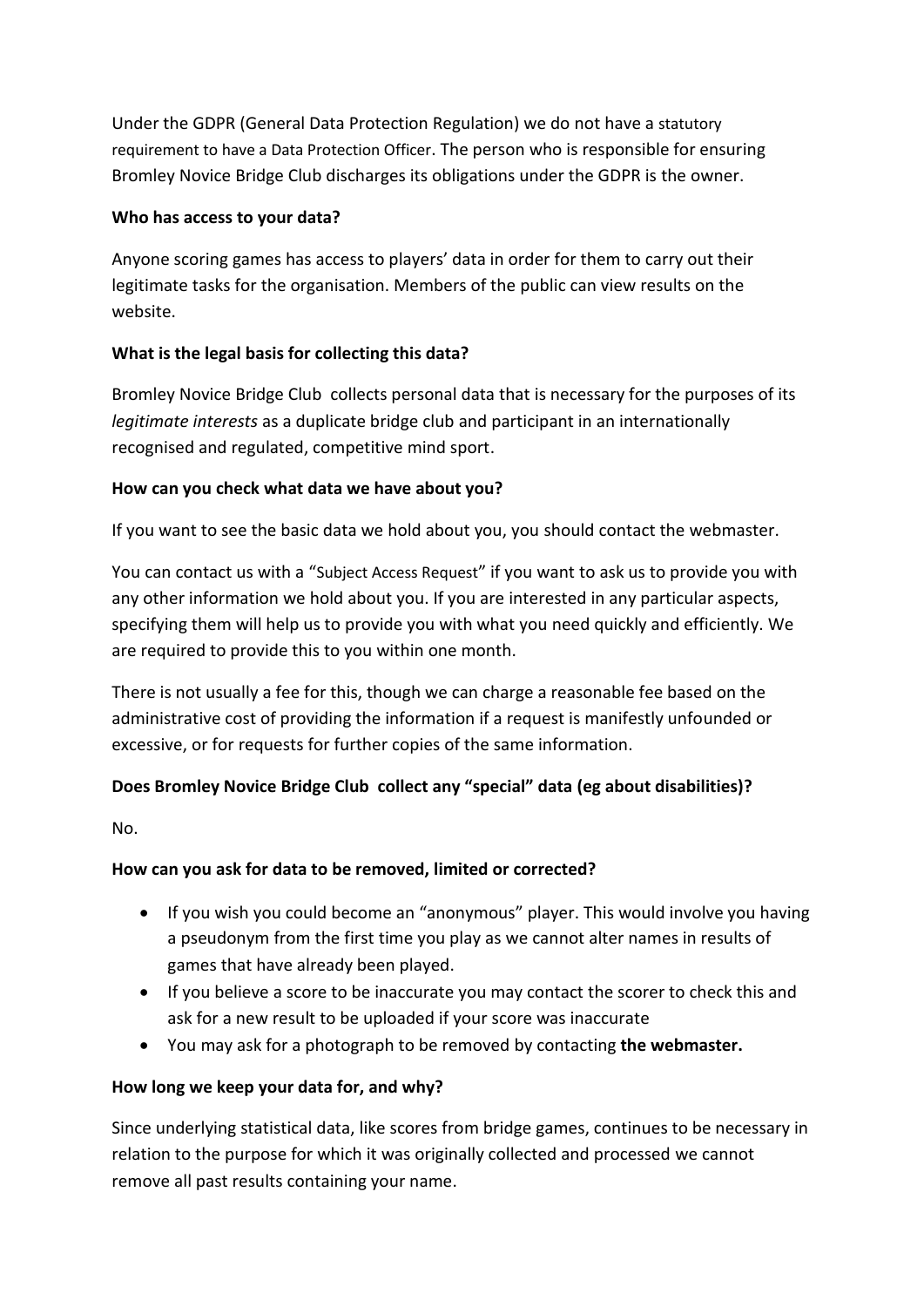Under the GDPR (General Data Protection Regulation) we do not have a [statutory](https://ico.org.uk/for-organisations/guide-to-the-general-data-protection-regulation-gdpr/accountability-and-governance/data-protection-officers/)  [requirement to have a Data Protection Officer](https://ico.org.uk/for-organisations/guide-to-the-general-data-protection-regulation-gdpr/accountability-and-governance/data-protection-officers/). The person who is responsible for ensuring Bromley Novice Bridge Club discharges its obligations under the GDPR is the owner.

#### **Who has access to your data?**

Anyone scoring games has access to players' data in order for them to carry out their legitimate tasks for the organisation. Members of the public can view results on the website.

### **What is the legal basis for collecting this data?**

Bromley Novice Bridge Club collects personal data that is necessary for the purposes of its *legitimate interests* as a duplicate bridge club and participant in an internationally recognised and regulated, competitive mind sport.

## **How can you check what data we have about you?**

If you want to see the basic data we hold about you, you should contact the webmaster.

You can contact us with a "[Subject Access Request](https://ico.org.uk/for-the-public/personal-information/)" if you want to ask us to provide you with any other information we hold about you. If you are interested in any particular aspects, specifying them will help us to provide you with what you need quickly and efficiently. We are required to provide this to you within one month.

There is not usually a fee for this, though we can charge a reasonable fee based on the administrative cost of providing the information if a request is manifestly unfounded or excessive, or for requests for further copies of the same information.

# **Does Bromley Novice Bridge Club collect any "special" data (eg about disabilities)?**

No.

# **How can you ask for data to be removed, limited or corrected?**

- If you wish you could become an "anonymous" player. This would involve you having a pseudonym from the first time you play as we cannot alter names in results of games that have already been played.
- If you believe a score to be inaccurate you may contact the scorer to check this and ask for a new result to be uploaded if your score was inaccurate
- You may ask for a photograph to be removed by contacting **the webmaster.**

# **How long we keep your data for, and why?**

Since underlying statistical data, like scores from bridge games, continues to be necessary in relation to the purpose for which it was originally collected and processed we cannot remove all past results containing your name.